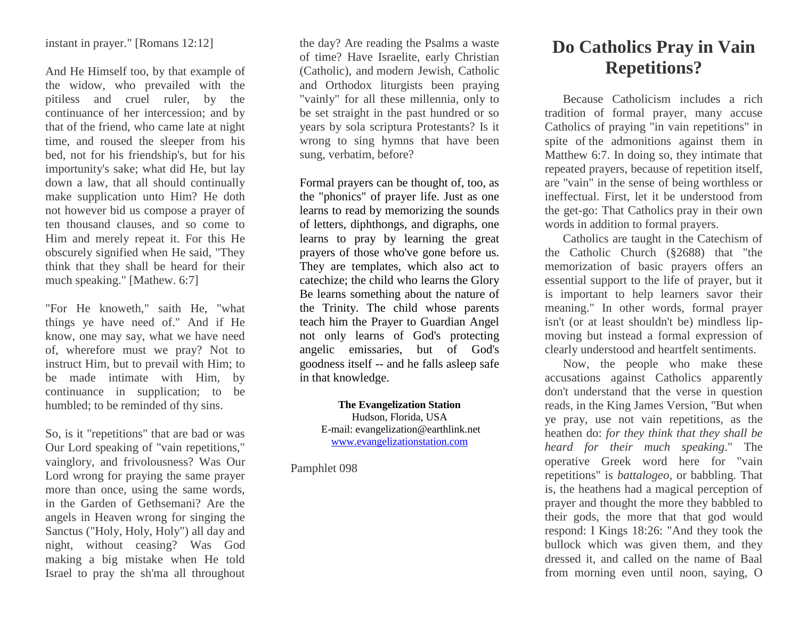instant in prayer." [Romans 12:12]

And He Himself too, by that example of the widow, who prevailed with the pitiless and cruel ruler, by the continuance of her intercession; and by that of the friend, who came late at night time, and roused the sleeper from his bed, not for his friendship's, but for his importunity's sake; what did He, but lay down a law, that all should continually make supplication unto Him? He doth not however bid us compose a prayer of ten thousand clauses, and so come to Him and merely repeat it. For this He obscurely signified when He said, "They think that they shall be heard for their much speaking." [Mathew. 6:7]

"For He knoweth," saith He, "what things ye have need of." And if He know, one may say, what we have need of, wherefore must we pray? Not to instruct Him, but to prevail with Him; to be made intimate with Him, by continuance in supplication; to be humbled; to be reminded of thy sins.

So, is it "repetitions" that are bad or was Our Lord speaking of "vain repetitions," vainglory, and frivolousness? Was Our Lord wrong for praying the same prayer more than once, using the same words, in the Garden of Gethsemani? Are the angels in Heaven wrong for singing the Sanctus ("Holy, Holy, Holy") all day and night, without ceasing? Was God making a big mistake when He told Israel to pray the sh'ma all throughout

the day? Are reading the Psalms a waste of time? Have Israelite, early Christian (Catholic), and modern Jewish, Catholic and Orthodox liturgists been praying "vainly" for all these millennia, only to be set straight in the past hundred or so years by sola scriptura Protestants? Is it wrong to sing hymns that have been sung, verbatim, before?

Formal prayers can be thought of, too, as the "phonics" of prayer life. Just as one learns to read by memorizing the sounds of letters, diphthongs, and digraphs, one learns to pray by learning the great prayers of those who've gone before us. They are templates, which also act to catechize; the child who learns the Glory Be learns something about the nature of the Trinity. The child whose parents teach him the Prayer to Guardian Angel not only learns of God's protecting angelic emissaries, but of God's goodness itself -- and he falls asleep safe in that knowledge.

## **The Evangelization Station**

Hudson, Florida, USA E-mail: evangelization@earthlink.net [www.evangelizationstation.com](http://www.pjpiisoe.org/)

Pamphlet 098

## **Do Catholics Pray in Vain Repetitions?**

Because Catholicism includes a rich tradition of formal prayer, many accuse Catholics of praying "in vain repetitions" in spite of the admonitions against them in Matthew 6:7. In doing so, they intimate that repeated prayers, because of repetition itself, are "vain" in the sense of being worthless or ineffectual. First, let it be understood from the get-go: That Catholics pray in their own words in addition to formal prayers.

Catholics are taught in the Catechism of the Catholic Church (§2688) that "the memorization of basic prayers offers an essential support to the life of prayer, but it is important to help learners savor their meaning." In other words, formal prayer isn't (or at least shouldn't be) mindless lipmoving but instead a formal expression of clearly understood and heartfelt sentiments.

Now, the people who make these accusations against Catholics apparently don't understand that the verse in question reads, in the King James Version, "But when ye pray, use not vain repetitions, as the heathen do: *for they think that they shall be heard for their much speaking*." The operative Greek word here for "vain repetitions" is *battalogeo*, or babbling. That is, the heathens had a magical perception of prayer and thought the more they babbled to their gods, the more that that god would respond: I Kings 18:26: "And they took the bullock which was given them, and they dressed it, and called on the name of Baal from morning even until noon, saying, O